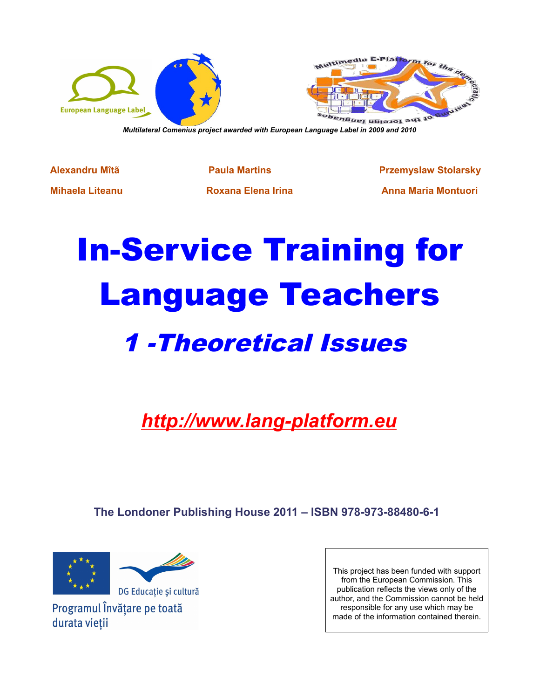

*Multilateral Comenius project awarded with European Language Label in 2009 and 2010*

**Alexandru Mîtã Paula Martins Przemyslaw Stolarsky Mihaela Liteanu Roxana Elena Irina Anna Maria Montuori**

# In-Service Training for Language Teachers 1 -Theoretical Issues

*http://www.lang-platform.eu*

**The Londoner Publishing House 2011 – ISBN 978-973-88480-6-1** 



Programul Învățare pe toată durata vietii

This project has been funded with support from the European Commission. This publication reflects the views only of the author, and the Commission cannot be held responsible for any use which may be made of the information contained therein.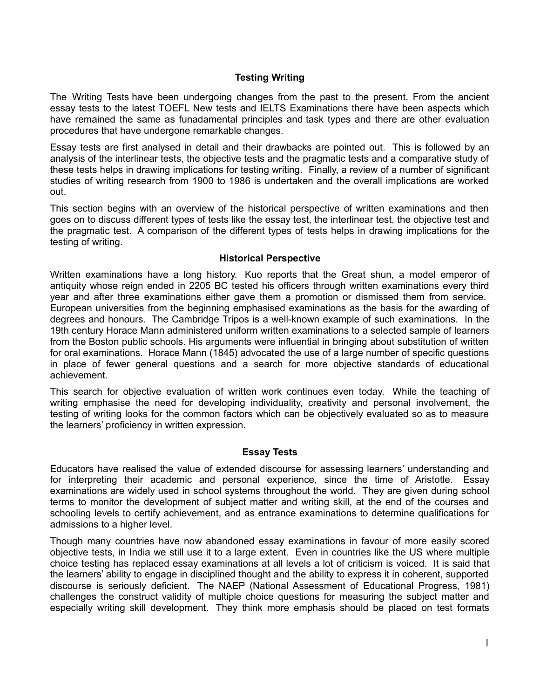## **Testing Writing**

The Writing Tests have been undergoing changes from the past to the present. From the ancient essay tests to the latest TOEFL New tests and IELTS Examinations there have been aspects which have remained the same as funadamental principles and task types and there are other evaluation procedures that have undergone remarkable changes.

Essay tests are first analysed in detail and their drawbacks are pointed out. This is followed by an analysis of the interlinear tests, the objective tests and the pragmatic tests and a comparative study of these tests helps in drawing implications for testing writing. Finally, a review of a number of significant studies of writing research from 1900 to 1986 is undertaken and the overall implications are worked out.

This section begins with an overview of the historical perspective of written examinations and then goes on to discuss different types of tests like the essay test, the interlinear test, the objective test and the pragmatic test. A comparison of the different types of tests helps in drawing implications for the testing of writing.

#### **Historical Perspective**

Written examinations have a long history. Kuo reports that the Great shun, a model emperor of antiquity whose reign ended in 2205 BC tested his officers through written examinations every third year and after three examinations either gave them a promotion or dismissed them from service. European universities from the beginning emphasised examinations as the basis for the awarding of degrees and honours. The Cambridge Tripos is a well-known example of such examinations. In the 19th century Horace Mann administered uniform written examinations to a selected sample of learners from the Boston public schools. His arguments were influential in bringing about substitution of written for oral examinations. Horace Mann (1845) advocated the use of a large number of specific questions in place of fewer general questions and a search for more objective standards of educational achievement.

This search for objective evaluation of written work continues even today. While the teaching of writing emphasise the need for developing individuality, creativity and personal involvement, the testing of writing looks for the common factors which can be objectively evaluated so as to measure the learners' proficiency in written expression.

#### **Essay Tests**

Educators have realised the value of extended discourse for assessing learners' understanding and for interpreting their academic and personal experience, since the time of Aristotle. Essay examinations are widely used in school systems throughout the world. They are given during school terms to monitor the development of subject matter and writing skill, at the end of the courses and schooling levels to certify achievement, and as entrance examinations to determine qualifications for admissions to a higher level.

Though many countries have now abandoned essay examinations in favour of more easily scored objective tests, in India we still use it to a large extent. Even in countries like the US where multiple choice testing has replaced essay examinations at all levels a lot of criticism is voiced. It is said that the learners' ability to engage in disciplined thought and the ability to express it in coherent, supported discourse is seriously deficient. The NAEP (National Assessment of Educational Progress, 1981) challenges the construct validity of multiple choice questions for measuring the subject matter and especially writing skill development. They think more emphasis should be placed on test formats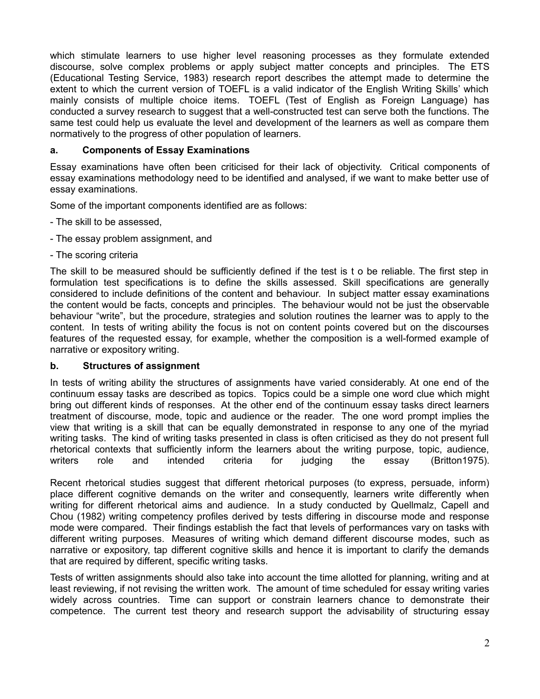which stimulate learners to use higher level reasoning processes as they formulate extended discourse, solve complex problems or apply subject matter concepts and principles. The ETS (Educational Testing Service, 1983) research report describes the attempt made to determine the extent to which the current version of TOEFL is a valid indicator of the English Writing Skills' which mainly consists of multiple choice items. TOEFL (Test of English as Foreign Language) has conducted a survey research to suggest that a well-constructed test can serve both the functions. The same test could help us evaluate the level and development of the learners as well as compare them normatively to the progress of other population of learners.

## **a. Components of Essay Examinations**

Essay examinations have often been criticised for their lack of objectivity. Critical components of essay examinations methodology need to be identified and analysed, if we want to make better use of essay examinations.

Some of the important components identified are as follows:

- The skill to be assessed,
- The essay problem assignment, and
- The scoring criteria

The skill to be measured should be sufficiently defined if the test is t o be reliable. The first step in formulation test specifications is to define the skills assessed. Skill specifications are generally considered to include definitions of the content and behaviour. In subject matter essay examinations the content would be facts, concepts and principles. The behaviour would not be just the observable behaviour "write", but the procedure, strategies and solution routines the learner was to apply to the content. In tests of writing ability the focus is not on content points covered but on the discourses features of the requested essay, for example, whether the composition is a well-formed example of narrative or expository writing.

## **b. Structures of assignment**

In tests of writing ability the structures of assignments have varied considerably. At one end of the continuum essay tasks are described as topics. Topics could be a simple one word clue which might bring out different kinds of responses. At the other end of the continuum essay tasks direct learners treatment of discourse, mode, topic and audience or the reader. The one word prompt implies the view that writing is a skill that can be equally demonstrated in response to any one of the myriad writing tasks. The kind of writing tasks presented in class is often criticised as they do not present full rhetorical contexts that sufficiently inform the learners about the writing purpose, topic, audience, writers role and intended criteria for judging the essay (Britton1975).

Recent rhetorical studies suggest that different rhetorical purposes (to express, persuade, inform) place different cognitive demands on the writer and consequently, learners write differently when writing for different rhetorical aims and audience. In a study conducted by Quellmalz, Capell and Chou (1982) writing competency profiles derived by tests differing in discourse mode and response mode were compared. Their findings establish the fact that levels of performances vary on tasks with different writing purposes. Measures of writing which demand different discourse modes, such as narrative or expository, tap different cognitive skills and hence it is important to clarify the demands that are required by different, specific writing tasks.

Tests of written assignments should also take into account the time allotted for planning, writing and at least reviewing, if not revising the written work. The amount of time scheduled for essay writing varies widely across countries. Time can support or constrain learners chance to demonstrate their competence. The current test theory and research support the advisability of structuring essay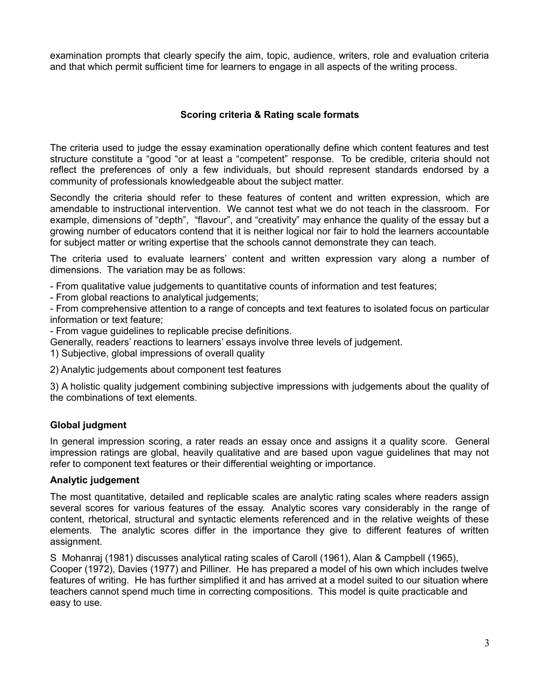examination prompts that clearly specify the aim, topic, audience, writers, role and evaluation criteria and that which permit sufficient time for learners to engage in all aspects of the writing process.

# **Scoring criteria & Rating scale formats**

The criteria used to judge the essay examination operationally define which content features and test structure constitute a "good "or at least a "competent" response. To be credible, criteria should not reflect the preferences of only a few individuals, but should represent standards endorsed by a community of professionals knowledgeable about the subject matter.

Secondly the criteria should refer to these features of content and written expression, which are amendable to instructional intervention. We cannot test what we do not teach in the classroom. For example, dimensions of "depth", "flavour", and "creativity" may enhance the quality of the essay but a growing number of educators contend that it is neither logical nor fair to hold the learners accountable for subject matter or writing expertise that the schools cannot demonstrate they can teach.

The criteria used to evaluate learners' content and written expression vary along a number of dimensions. The variation may be as follows:

- From qualitative value judgements to quantitative counts of information and test features;

- From global reactions to analytical judgements;

- From comprehensive attention to a range of concepts and text features to isolated focus on particular information or text feature;

- From vague guidelines to replicable precise definitions.

Generally, readers' reactions to learners' essays involve three levels of judgement.

1) Subjective, global impressions of overall quality

2) Analytic judgements about component test features

3) A holistic quality judgement combining subjective impressions with judgements about the quality of the combinations of text elements.

# **Global judgment**

In general impression scoring, a rater reads an essay once and assigns it a quality score. General impression ratings are global, heavily qualitative and are based upon vague guidelines that may not refer to component text features or their differential weighting or importance.

## **Analytic judgement**

The most quantitative, detailed and replicable scales are analytic rating scales where readers assign several scores for various features of the essay. Analytic scores vary considerably in the range of content, rhetorical, structural and syntactic elements referenced and in the relative weights of these elements. The analytic scores differ in the importance they give to different features of written assignment.

S Mohanraj (1981) discusses analytical rating scales of Caroll (1961), Alan & Campbell (1965), Cooper (1972), Davies (1977) and Pilliner. He has prepared a model of his own which includes twelve features of writing. He has further simplified it and has arrived at a model suited to our situation where teachers cannot spend much time in correcting compositions. This model is quite practicable and easy to use.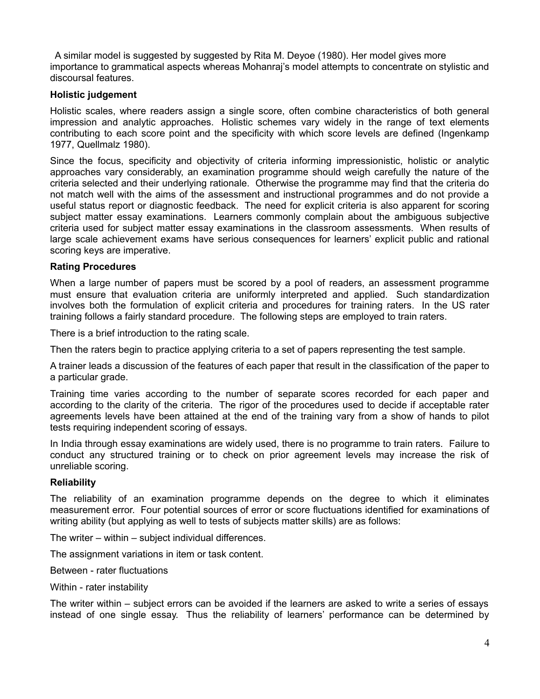A similar model is suggested by suggested by Rita M. Deyoe (1980). Her model gives more importance to grammatical aspects whereas Mohanraj's model attempts to concentrate on stylistic and discoursal features.

## **Holistic judgement**

Holistic scales, where readers assign a single score, often combine characteristics of both general impression and analytic approaches. Holistic schemes vary widely in the range of text elements contributing to each score point and the specificity with which score levels are defined (Ingenkamp 1977, Quellmalz 1980).

Since the focus, specificity and objectivity of criteria informing impressionistic, holistic or analytic approaches vary considerably, an examination programme should weigh carefully the nature of the criteria selected and their underlying rationale. Otherwise the programme may find that the criteria do not match well with the aims of the assessment and instructional programmes and do not provide a useful status report or diagnostic feedback. The need for explicit criteria is also apparent for scoring subject matter essay examinations. Learners commonly complain about the ambiguous subjective criteria used for subject matter essay examinations in the classroom assessments. When results of large scale achievement exams have serious consequences for learners' explicit public and rational scoring keys are imperative.

### **Rating Procedures**

When a large number of papers must be scored by a pool of readers, an assessment programme must ensure that evaluation criteria are uniformly interpreted and applied. Such standardization involves both the formulation of explicit criteria and procedures for training raters. In the US rater training follows a fairly standard procedure. The following steps are employed to train raters.

There is a brief introduction to the rating scale.

Then the raters begin to practice applying criteria to a set of papers representing the test sample.

A trainer leads a discussion of the features of each paper that result in the classification of the paper to a particular grade.

Training time varies according to the number of separate scores recorded for each paper and according to the clarity of the criteria. The rigor of the procedures used to decide if acceptable rater agreements levels have been attained at the end of the training vary from a show of hands to pilot tests requiring independent scoring of essays.

In India through essay examinations are widely used, there is no programme to train raters. Failure to conduct any structured training or to check on prior agreement levels may increase the risk of unreliable scoring.

#### **Reliability**

The reliability of an examination programme depends on the degree to which it eliminates measurement error. Four potential sources of error or score fluctuations identified for examinations of writing ability (but applying as well to tests of subjects matter skills) are as follows:

The writer – within – subject individual differences.

The assignment variations in item or task content.

Between - rater fluctuations

Within - rater instability

The writer within – subject errors can be avoided if the learners are asked to write a series of essays instead of one single essay. Thus the reliability of learners' performance can be determined by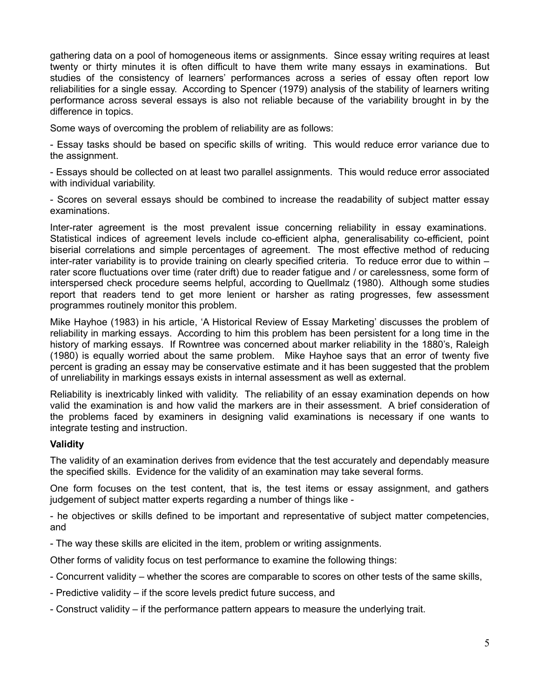gathering data on a pool of homogeneous items or assignments. Since essay writing requires at least twenty or thirty minutes it is often difficult to have them write many essays in examinations. But studies of the consistency of learners' performances across a series of essay often report low reliabilities for a single essay. According to Spencer (1979) analysis of the stability of learners writing performance across several essays is also not reliable because of the variability brought in by the difference in topics.

Some ways of overcoming the problem of reliability are as follows:

- Essay tasks should be based on specific skills of writing. This would reduce error variance due to the assignment.

- Essays should be collected on at least two parallel assignments. This would reduce error associated with individual variability.

- Scores on several essays should be combined to increase the readability of subject matter essay examinations.

Inter-rater agreement is the most prevalent issue concerning reliability in essay examinations. Statistical indices of agreement levels include co-efficient alpha, generalisability co-efficient, point biserial correlations and simple percentages of agreement. The most effective method of reducing inter-rater variability is to provide training on clearly specified criteria. To reduce error due to within – rater score fluctuations over time (rater drift) due to reader fatigue and / or carelessness, some form of interspersed check procedure seems helpful, according to Quellmalz (1980). Although some studies report that readers tend to get more lenient or harsher as rating progresses, few assessment programmes routinely monitor this problem.

Mike Hayhoe (1983) in his article, 'A Historical Review of Essay Marketing' discusses the problem of reliability in marking essays. According to him this problem has been persistent for a long time in the history of marking essays. If Rowntree was concerned about marker reliability in the 1880's, Raleigh (1980) is equally worried about the same problem. Mike Hayhoe says that an error of twenty five percent is grading an essay may be conservative estimate and it has been suggested that the problem of unreliability in markings essays exists in internal assessment as well as external.

Reliability is inextricably linked with validity. The reliability of an essay examination depends on how valid the examination is and how valid the markers are in their assessment. A brief consideration of the problems faced by examiners in designing valid examinations is necessary if one wants to integrate testing and instruction.

## **Validity**

The validity of an examination derives from evidence that the test accurately and dependably measure the specified skills. Evidence for the validity of an examination may take several forms.

One form focuses on the test content, that is, the test items or essay assignment, and gathers judgement of subject matter experts regarding a number of things like -

- he objectives or skills defined to be important and representative of subject matter competencies, and

- The way these skills are elicited in the item, problem or writing assignments.

Other forms of validity focus on test performance to examine the following things:

- Concurrent validity whether the scores are comparable to scores on other tests of the same skills,
- Predictive validity if the score levels predict future success, and
- Construct validity if the performance pattern appears to measure the underlying trait.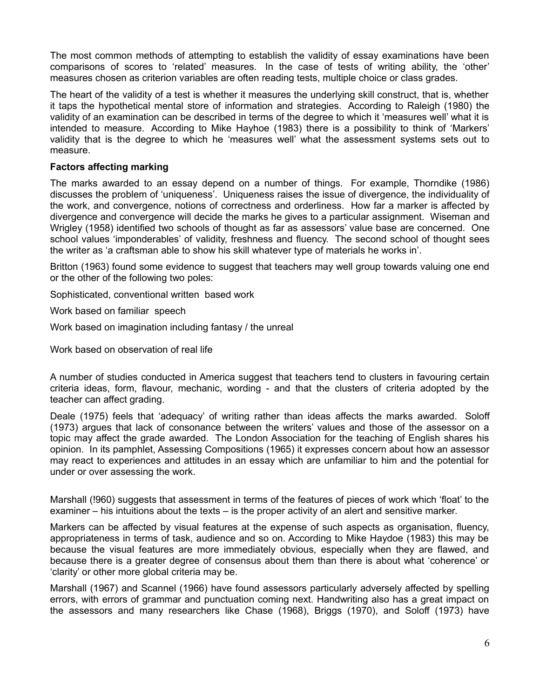The most common methods of attempting to establish the validity of essay examinations have been comparisons of scores to 'related' measures. In the case of tests of writing ability, the 'other' measures chosen as criterion variables are often reading tests, multiple choice or class grades.

The heart of the validity of a test is whether it measures the underlying skill construct, that is, whether it taps the hypothetical mental store of information and strategies. According to Raleigh (1980) the validity of an examination can be described in terms of the degree to which it 'measures well' what it is intended to measure. According to Mike Hayhoe (1983) there is a possibility to think of 'Markers' validity that is the degree to which he 'measures well' what the assessment systems sets out to measure.

### **Factors affecting marking**

The marks awarded to an essay depend on a number of things. For example, Thorndike (1986) discusses the problem of 'uniqueness'. Uniqueness raises the issue of divergence, the individuality of the work, and convergence, notions of correctness and orderliness. How far a marker is affected by divergence and convergence will decide the marks he gives to a particular assignment. Wiseman and Wrigley (1958) identified two schools of thought as far as assessors' value base are concerned. One school values 'imponderables' of validity, freshness and fluency. The second school of thought sees the writer as 'a craftsman able to show his skill whatever type of materials he works in'.

Britton (1963) found some evidence to suggest that teachers may well group towards valuing one end or the other of the following two poles:

Sophisticated, conventional written based work

Work based on familiar speech

Work based on imagination including fantasy / the unreal

Work based on observation of real life

A number of studies conducted in America suggest that teachers tend to clusters in favouring certain criteria ideas, form, flavour, mechanic, wording - and that the clusters of criteria adopted by the teacher can affect grading.

Deale (1975) feels that 'adequacy' of writing rather than ideas affects the marks awarded. Soloff (1973) argues that lack of consonance between the writers' values and those of the assessor on a topic may affect the grade awarded. The London Association for the teaching of English shares his opinion. In its pamphlet, Assessing Compositions (1965) it expresses concern about how an assessor may react to experiences and attitudes in an essay which are unfamiliar to him and the potential for under or over assessing the work.

Marshall (!960) suggests that assessment in terms of the features of pieces of work which 'float' to the examiner – his intuitions about the texts – is the proper activity of an alert and sensitive marker.

Markers can be affected by visual features at the expense of such aspects as organisation, fluency, appropriateness in terms of task, audience and so on. According to Mike Haydoe (1983) this may be because the visual features are more immediately obvious, especially when they are flawed, and because there is a greater degree of consensus about them than there is about what 'coherence' or 'clarity' or other more global criteria may be.

Marshall (1967) and Scannel (1966) have found assessors particularly adversely affected by spelling errors, with errors of grammar and punctuation coming next. Handwriting also has a great impact on the assessors and many researchers like Chase (1968), Briggs (1970), and Soloff (1973) have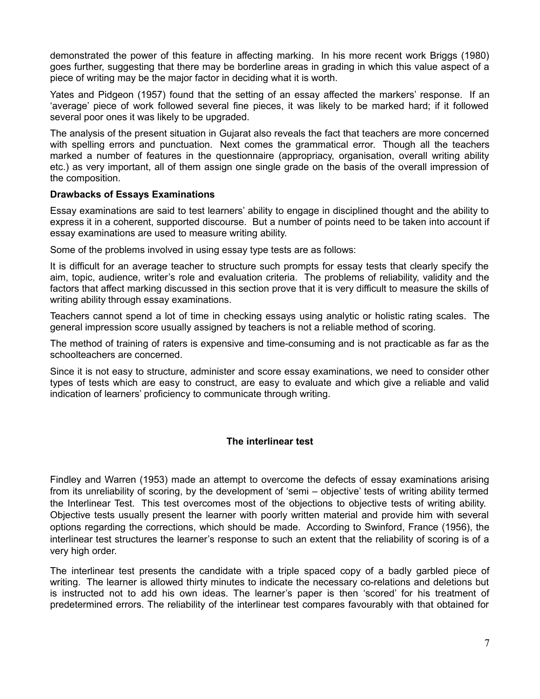demonstrated the power of this feature in affecting marking. In his more recent work Briggs (1980) goes further, suggesting that there may be borderline areas in grading in which this value aspect of a piece of writing may be the major factor in deciding what it is worth.

Yates and Pidgeon (1957) found that the setting of an essay affected the markers' response. If an 'average' piece of work followed several fine pieces, it was likely to be marked hard; if it followed several poor ones it was likely to be upgraded.

The analysis of the present situation in Gujarat also reveals the fact that teachers are more concerned with spelling errors and punctuation. Next comes the grammatical error. Though all the teachers marked a number of features in the questionnaire (appropriacy, organisation, overall writing ability etc.) as very important, all of them assign one single grade on the basis of the overall impression of the composition.

#### **Drawbacks of Essays Examinations**

Essay examinations are said to test learners' ability to engage in disciplined thought and the ability to express it in a coherent, supported discourse. But a number of points need to be taken into account if essay examinations are used to measure writing ability.

Some of the problems involved in using essay type tests are as follows:

It is difficult for an average teacher to structure such prompts for essay tests that clearly specify the aim, topic, audience, writer's role and evaluation criteria. The problems of reliability, validity and the factors that affect marking discussed in this section prove that it is very difficult to measure the skills of writing ability through essay examinations.

Teachers cannot spend a lot of time in checking essays using analytic or holistic rating scales. The general impression score usually assigned by teachers is not a reliable method of scoring.

The method of training of raters is expensive and time-consuming and is not practicable as far as the schoolteachers are concerned.

Since it is not easy to structure, administer and score essay examinations, we need to consider other types of tests which are easy to construct, are easy to evaluate and which give a reliable and valid indication of learners' proficiency to communicate through writing.

## **The interlinear test**

Findley and Warren (1953) made an attempt to overcome the defects of essay examinations arising from its unreliability of scoring, by the development of 'semi – objective' tests of writing ability termed the Interlinear Test. This test overcomes most of the objections to objective tests of writing ability. Objective tests usually present the learner with poorly written material and provide him with several options regarding the corrections, which should be made. According to Swinford, France (1956), the interlinear test structures the learner's response to such an extent that the reliability of scoring is of a very high order.

The interlinear test presents the candidate with a triple spaced copy of a badly garbled piece of writing. The learner is allowed thirty minutes to indicate the necessary co-relations and deletions but is instructed not to add his own ideas. The learner's paper is then 'scored' for his treatment of predetermined errors. The reliability of the interlinear test compares favourably with that obtained for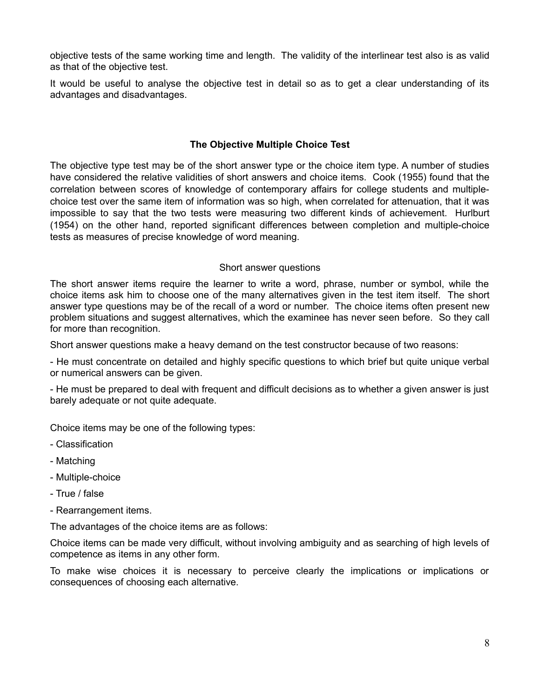objective tests of the same working time and length. The validity of the interlinear test also is as valid as that of the objective test.

It would be useful to analyse the objective test in detail so as to get a clear understanding of its advantages and disadvantages.

## **The Objective Multiple Choice Test**

The objective type test may be of the short answer type or the choice item type. A number of studies have considered the relative validities of short answers and choice items. Cook (1955) found that the correlation between scores of knowledge of contemporary affairs for college students and multiplechoice test over the same item of information was so high, when correlated for attenuation, that it was impossible to say that the two tests were measuring two different kinds of achievement. Hurlburt (1954) on the other hand, reported significant differences between completion and multiple-choice tests as measures of precise knowledge of word meaning.

#### Short answer questions

The short answer items require the learner to write a word, phrase, number or symbol, while the choice items ask him to choose one of the many alternatives given in the test item itself. The short answer type questions may be of the recall of a word or number. The choice items often present new problem situations and suggest alternatives, which the examinee has never seen before. So they call for more than recognition.

Short answer questions make a heavy demand on the test constructor because of two reasons:

- He must concentrate on detailed and highly specific questions to which brief but quite unique verbal or numerical answers can be given.

- He must be prepared to deal with frequent and difficult decisions as to whether a given answer is just barely adequate or not quite adequate.

Choice items may be one of the following types:

- Classification
- Matching
- Multiple-choice
- True / false
- Rearrangement items.

The advantages of the choice items are as follows:

Choice items can be made very difficult, without involving ambiguity and as searching of high levels of competence as items in any other form.

To make wise choices it is necessary to perceive clearly the implications or implications or consequences of choosing each alternative.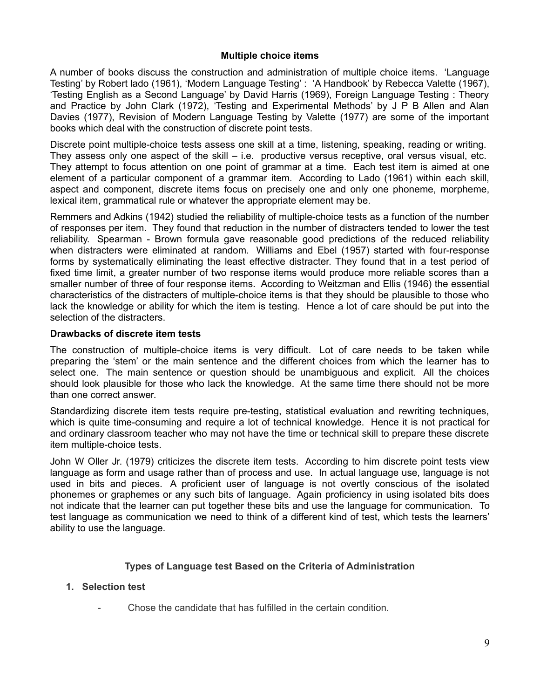### **Multiple choice items**

A number of books discuss the construction and administration of multiple choice items. 'Language Testing' by Robert lado (1961), 'Modern Language Testing' : 'A Handbook' by Rebecca Valette (1967), 'Testing English as a Second Language' by David Harris (1969), Foreign Language Testing : Theory and Practice by John Clark (1972), 'Testing and Experimental Methods' by J P B Allen and Alan Davies (1977), Revision of Modern Language Testing by Valette (1977) are some of the important books which deal with the construction of discrete point tests.

Discrete point multiple-choice tests assess one skill at a time, listening, speaking, reading or writing. They assess only one aspect of the skill – i.e. productive versus receptive, oral versus visual, etc. They attempt to focus attention on one point of grammar at a time. Each test item is aimed at one element of a particular component of a grammar item. According to Lado (1961) within each skill, aspect and component, discrete items focus on precisely one and only one phoneme, morpheme, lexical item, grammatical rule or whatever the appropriate element may be.

Remmers and Adkins (1942) studied the reliability of multiple-choice tests as a function of the number of responses per item. They found that reduction in the number of distracters tended to lower the test reliability. Spearman - Brown formula gave reasonable good predictions of the reduced reliability when distracters were eliminated at random. Williams and Ebel (1957) started with four-response forms by systematically eliminating the least effective distracter. They found that in a test period of fixed time limit, a greater number of two response items would produce more reliable scores than a smaller number of three of four response items. According to Weitzman and Ellis (1946) the essential characteristics of the distracters of multiple-choice items is that they should be plausible to those who lack the knowledge or ability for which the item is testing. Hence a lot of care should be put into the selection of the distracters.

### **Drawbacks of discrete item tests**

The construction of multiple-choice items is very difficult. Lot of care needs to be taken while preparing the 'stem' or the main sentence and the different choices from which the learner has to select one. The main sentence or question should be unambiguous and explicit. All the choices should look plausible for those who lack the knowledge. At the same time there should not be more than one correct answer.

Standardizing discrete item tests require pre-testing, statistical evaluation and rewriting techniques, which is quite time-consuming and require a lot of technical knowledge. Hence it is not practical for and ordinary classroom teacher who may not have the time or technical skill to prepare these discrete item multiple-choice tests.

John W Oller Jr. (1979) criticizes the discrete item tests. According to him discrete point tests view language as form and usage rather than of process and use. In actual language use, language is not used in bits and pieces. A proficient user of language is not overtly conscious of the isolated phonemes or graphemes or any such bits of language. Again proficiency in using isolated bits does not indicate that the learner can put together these bits and use the language for communication. To test language as communication we need to think of a different kind of test, which tests the learners' ability to use the language.

## **Types of Language test Based on the Criteria of Administration**

## **1. Selection test**

- Chose the candidate that has fulfilled in the certain condition.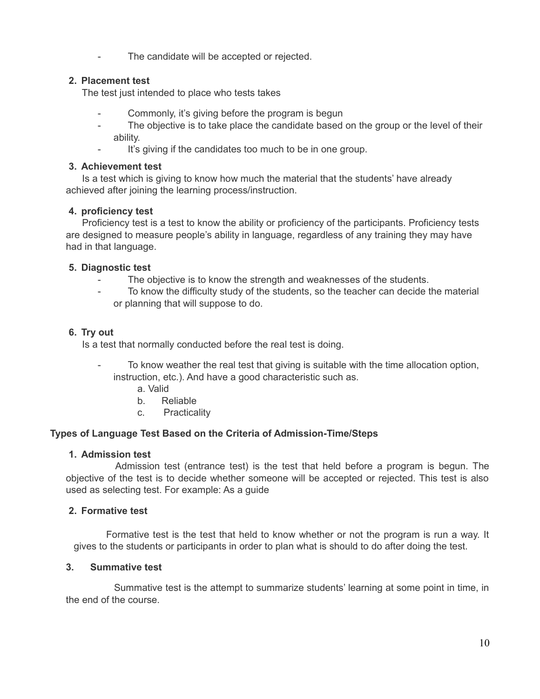The candidate will be accepted or rejected.

# **2. Placement test**

The test just intended to place who tests takes

- Commonly, it's giving before the program is begun
- The objective is to take place the candidate based on the group or the level of their ability.
- It's giving if the candidates too much to be in one group.

## **3. Achievement test**

Is a test which is giving to know how much the material that the students' have already achieved after joining the learning process/instruction.

# **4. proficiency test**

Proficiency test is a test to know the ability or proficiency of the participants. Proficiency tests are designed to measure people's ability in language, regardless of any training they may have had in that language.

## **5. Diagnostic test**

- The objective is to know the strength and weaknesses of the students.
- To know the difficulty study of the students, so the teacher can decide the material or planning that will suppose to do.

## **6. Try out**

Is a test that normally conducted before the real test is doing.

- To know weather the real test that giving is suitable with the time allocation option, instruction, etc.). And have a good characteristic such as.
	- a. Valid
	- b. Reliable
	- c. Practicality

# **Types of Language Test Based on the Criteria of Admission-Time/Steps**

## **1. Admission test**

Admission test (entrance test) is the test that held before a program is begun. The objective of the test is to decide whether someone will be accepted or rejected. This test is also used as selecting test. For example: As a guide

# **2. Formative test**

Formative test is the test that held to know whether or not the program is run a way. It gives to the students or participants in order to plan what is should to do after doing the test.

# **3. Summative test**

Summative test is the attempt to summarize students' learning at some point in time, in the end of the course.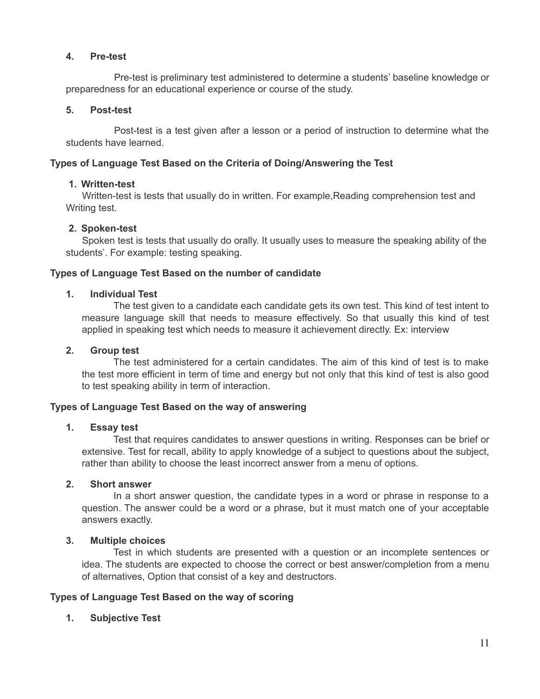## **4. Pre-test**

Pre-test is preliminary test administered to determine a students' baseline knowledge or preparedness for an educational experience or course of the study.

## **5. Post-test**

Post-test is a test given after a lesson or a period of instruction to determine what the students have learned.

# **Types of Language Test Based on the Criteria of Doing/Answering the Test**

## **1. Written-test**

Written-test is tests that usually do in written. For example,Reading comprehension test and Writing test.

## **2. Spoken-test**

Spoken test is tests that usually do orally. It usually uses to measure the speaking ability of the students'. For example: testing speaking.

## **Types of Language Test Based on the number of candidate**

## **1. Individual Test**

The test given to a candidate each candidate gets its own test. This kind of test intent to measure language skill that needs to measure effectively. So that usually this kind of test applied in speaking test which needs to measure it achievement directly. Ex: interview

## **2. Group test**

The test administered for a certain candidates. The aim of this kind of test is to make the test more efficient in term of time and energy but not only that this kind of test is also good to test speaking ability in term of interaction.

## **Types of Language Test Based on the way of answering**

## **1. Essay test**

Test that requires candidates to answer questions in writing. Responses can be brief or extensive. Test for recall, ability to apply knowledge of a subject to questions about the subject, rather than ability to choose the least incorrect answer from a menu of options.

## **2. Short answer**

In a short answer question, the candidate types in a word or phrase in response to a question. The answer could be a word or a phrase, but it must match one of your acceptable answers exactly.

## **3. Multiple choices**

Test in which students are presented with a question or an incomplete sentences or idea. The students are expected to choose the correct or best answer/completion from a menu of alternatives, Option that consist of a key and destructors.

## **Types of Language Test Based on the way of scoring**

# **1. Subjective Test**